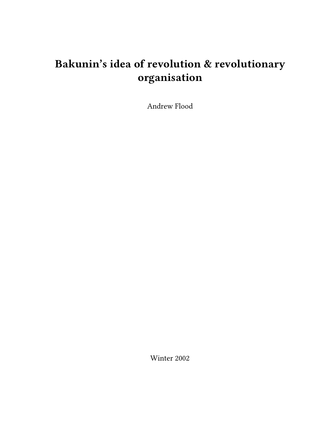# **Bakunin's idea of revolution & revolutionary organisation**

Andrew Flood

Winter 2002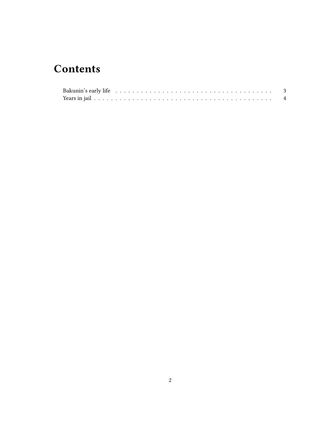## **Contents**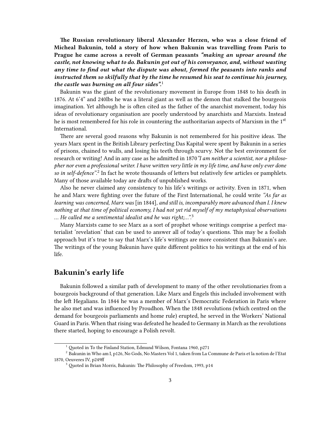**The Russian revolutionary liberal Alexander Herzen, who was a close friend of Micheal Bakunin, told a story of how when Bakunin was travelling from Paris to Prague he came across a revolt of German peasants** *"making an uproar around the castle, not knowing what to do. Bakunin got out of his conveyance, and, without wasting any time to find out what the dispute was about, formed the peasants into ranks and instructed them so skilfully that by the time he resumed his seat to continue his journey, the castle was burning on all four sides"***.** 1

Bakunin was the giant of the revolutionary movement in Europe from 1848 to his death in 1876. At 6'4" and 240lbs he was a literal giant as well as the demon that stalked the bourgeois imagination. Yet although he is often cited as the father of the anarchist movement, today his ideas of revolutionary organisation are poorly understood by anarchists and Marxists. Instead he is most remembered for his role in countering the authoritarian aspects of Marxism in the  $1<sup>st</sup>$ International.

There are several good reasons why Bakunin is not remembered for his positive ideas. The years Marx spent in the British Library perfecting Das Kapital were spent by Bakunin in a series of prisons, chained to walls, and losing his teeth through scurvy. Not the best environment for research or writing! And in any case as he admitted in 1870*"I am neither a scientist, nor a philosopher nor even a professional writer. I have written very little in my life time, and have only ever done so in self-defence"*. 2 In fact he wrote thousands of letters but relatively few articles or pamphlets. Many of those available today are drafts of unpublished works.

Also he never claimed any consistency to his life's writings or activity. Even in 1871, when he and Marx were fighting over the future of the First International, he could write *"As far as learning was concerned, Marx was* [in 1844]*, and still is, incomparably more advanced than I. I knew nothing at that time of political economy, I had not yet rid myself of my metaphysical observations … He called me a sentimental idealist and he was right;…"*. 3

Many Marxists came to see Marx as a sort of prophet whose writings comprise a perfect materialist 'revelation' that can be used to answer all of today's questions. This may be a foolish approach but it's true to say that Marx's life's writings are more consistent than Bakunin's are. The writings of the young Bakunin have quite different politics to his writings at the end of his life.

#### <span id="page-2-0"></span>**Bakunin's early life**

Bakunin followed a similar path of development to many of the other revolutionaries from a bourgeois background of that generation. Like Marx and Engels this included involvement with the left Hegalians. In 1844 he was a member of Marx's Democratic Federation in Paris where he also met and was influenced by Proudhon. When the 1848 revolutions (which centred on the demand for bourgeois parliaments and home rule) erupted, he served in the Workers' National Guard in Paris. When that rising was defeated he headed to Germany in March as the revolutions there started, hoping to encourage a Polish revolt.

<sup>&</sup>lt;sup>1</sup> Quoted in To the Finland Station, Edmund Wilson, Fontana 1960, p271

<sup>2</sup> Bakunin in Who am I, p126, No Gods, No Masters Vol 1, taken from La Commune de Paris et la notion de l'Etat 1870, Oeuveres IV, p249ff

<sup>3</sup> Quoted in Brian Morris, Bakunin: The Philosophy of Freedom, 1993, p14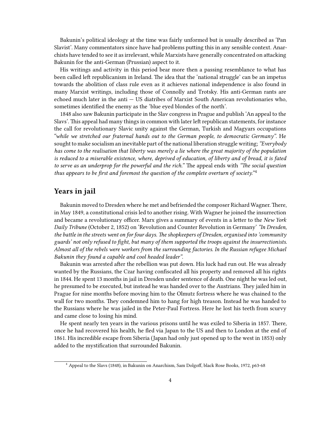Bakunin's political ideology at the time was fairly unformed but is usually described as 'Pan Slavist'. Many commentators since have had problems putting this in any sensible context. Anarchists have tended to see it as irrelevant, while Marxists have generally concentrated on attacking Bakunin for the anti-German (Prussian) aspect to it.

His writings and activity in this period bear more then a passing resemblance to what has been called left republicanism in Ireland. The idea that the 'national struggle' can be an impetus towards the abolition of class rule even as it achieves national independence is also found in many Marxist writings, including those of Connolly and Trotsky. His anti-German rants are echoed much later in the anti — US diatribes of Marxist South American revolutionaries who, sometimes identified the enemy as the 'blue eyed blondes of the north'.

1848 also saw Bakunin participate in the Slav congress in Prague and publish 'An appeal to the Slavs'. This appeal had many things in common with later left republican statements, for instance the call for revolutionary Slavic unity against the German, Turkish and Magyars occupations *"while we stretched our fraternal hands out to the German people, to democratic Germany"*. He sought to make socialism an inevitable part of the national liberation struggle writing;*"Everybody has come to the realisation that liberty was merely a lie where the great majority of the population is reduced to a miserable existence, where, deprived of education, of liberty and of bread, it is fated to serve as an underprop for the powerful and the rich."* The appeal ends with *"The social question thus appears to be first and foremost the question of the complete overturn of society.*"<sup>4</sup>

### <span id="page-3-0"></span>**Years in jail**

Bakunin moved to Dresden where he met and befriended the composer Richard Wagner. There, in May 1849, a constitutional crisis led to another rising. With Wagner he joined the insurrection and became a revolutionary officer. Marx gives a summary of events in a letter to the *New York Daily Tribune* (October 2, 1852) on 'Revolution and Counter Revolution in Germany' *"In Dresden, the battle in the streets went on for four days. The shopkeepers of Dresden, organised into 'community guards' not only refused to fight, but many of them supported the troops against the insurrectionists. Almost all of the rebels were workers from the surrounding factories. In the Russian refugee Michael Bakunin they found a capable and cool headed leader"*.

Bakunin was arrested after the rebellion was put down. His luck had run out. He was already wanted by the Russians, the Czar having confiscated all his property and removed all his rights in 1844. He spent 13 months in jail in Dresden under sentence of death. One night he was led out, he presumed to be executed, but instead he was handed over to the Austrians. They jailed him in Prague for nine months before moving him to the Olmutz fortress where he was chained to the wall for two months. They condemned him to hang for high treason. Instead he was handed to the Russians where he was jailed in the Peter-Paul Fortress. Here he lost his teeth from scurvy and came close to losing his mind.

He spent nearly ten years in the various prisons until he was exiled to Siberia in 1857. There, once he had recovered his health, he fled via Japan to the US and then to London at the end of 1861. His incredible escape from Siberia (Japan had only just opened up to the west in 1853) only added to the mystification that surrounded Bakunin.

<sup>4</sup> Appeal to the Slavs (1848), in Bakunin on Anarchism, Sam Dolgoff, black Rose Books, 1972, p63-68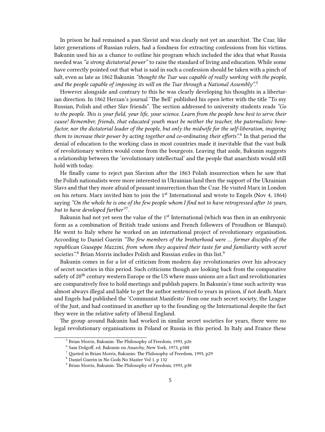In prison he had remained a pan Slavist and was clearly not yet an anarchist. The Czar, like later generations of Russian rulers, had a fondness for extracting confessions from his victims. Bakunin used his as a chance to outline his program which included the idea that what Russia needed was *"a strong dictatorial power"* to raise the standard of living and education. While some have correctly pointed out that what is said in such a confession should be taken with a pinch of salt, even as late as 1862 Bakunin *"thought the Tsar was capable of really working with the people, and the people capable of imposing its will on the Tsar through a National Assembly"*. 5

However alongside and contrary to this he was clearly developing his thoughts in a libertarian direction. In 1862 Herzan's journal 'The Bell' published his open letter with the title "To my Russian, Polish and other Slav friends". The section addressed to university students reads *"Go to the people. This is your field, your life, your science. Learn from the people how best to serve their cause! Remember, friends, that educated youth must be neither the teacher, the paternalistic benefactor, nor the dictatorial leader of the people, but only the midwife for the self-liberation, inspiring* them to increase their power by acting together and co-ordinating their efforts".<sup>6</sup> In that period the denial of education to the working class in most countries made it inevitable that the vast bulk of revolutionary writers would come from the bourgeois. Leaving that aside, Bakunin suggests a relationship between the 'revolutionary intellectual' and the people that anarchists would still hold with today.

He finally came to reject pan Slavism after the 1863 Polish insurrection when he saw that the Polish nationalists were more interested in Ukrainian land then the support of the Ukrainian Slavs and that they more afraid of peasant insurrection than the Czar. He visited Marx in London on his return. Marx invited him to join the 1<sup>st</sup> International and wrote to Engels (Nov 4, 1864) saying *"On the whole he is one of the few people whom I find not to have retrogressed after 16 years,* but to have developed further"<sup>7</sup>.

Bakunin had not yet seen the value of the 1st International (which was then in an embryonic form as a combination of British trade unions and French followers of Proudhon or Blanqui). He went to Italy where he worked on an international project of revolutionary organisation. According to Daniel Guerin *"The few members of the brotherhood were … former disciples of the republican Giuseppe Mazzini, from whom they acquired their taste for and familiarity with secret* societies".<sup>8</sup> Brian Morris includes Polish and Russian exiles in this list.<sup>9</sup>

Bakunin comes in for a lot of criticism from modern day revolutionaries over his advocacy of secret societies in this period. Such criticisms though are looking back from the comparative safety of 20<sup>th</sup> century western Europe or the US where mass unions are a fact and revolutionaries are comparatively free to hold meetings and publish papers. In Bakunin's time such activity was almost always illegal and liable to get the author sentenced to years in prison, if not death. Marx and Engels had published the 'Communist Manifesto' from one such secret society, the League of the Just, and had continued in another up to the founding og the International despite the fact they were in the relative safety of liberal England.

The group around Bakunin had worked in similar secret societies for years, there were no legal revolutionary organisations in Poland or Russia in this period. In Italy and France these

<sup>5</sup> Brian Morris, Bakunin: The Philosophy of Freedom, 1993, p26

<sup>6</sup> Sam Dolgoff, ed, Bakunin on Anarchy, New York, 1973, p388

 $7$  Quoted in Brian Morris, Bakunin: The Philosophy of Freedom, 1993, p29

<sup>8</sup> Daniel Guerin in No Gods No Master Vol 1, p 132

<sup>9</sup> Brian Morris, Bakunin: The Philosophy of Freedom, 1993, p30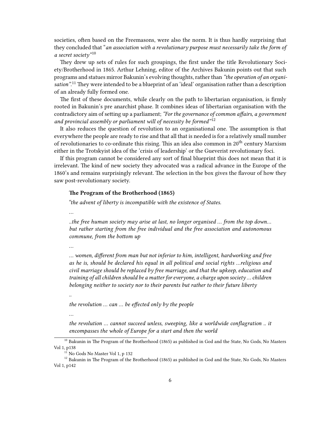societies, often based on the Freemasons, were also the norm. It is thus hardly surprising that they concluded that "*an association with a revolutionary purpose must necessarily take the form of a* secret society"<sup>10</sup>

They drew up sets of rules for such groupings, the first under the title Revolutionary Society/Brotherhood in 1865. Arthur Lehning, editor of the Archives Bakunin points out that such programs and statues mirror Bakunin's evolving thoughts, rather than *"the operation of an organi*sation".<sup>11</sup> They were intended to be a blueprint of an 'ideal' organisation rather than a description of an already fully formed one.

The first of these documents, while clearly on the path to libertarian organisation, is firmly rooted in Bakunin's pre anarchist phase. It combines ideas of libertarian organisation with the contradictory aim of setting up a parliament; *"For the governance of common affairs, a government* and provincial assembly or parliament will of necessity be formed<sup>"12</sup>

It also reduces the question of revolution to an organisational one. The assumption is that everywhere the people are ready to rise and that all that is needed is for a relatively small number of revolutionaries to co-ordinate this rising. This an idea also common in  $20<sup>th</sup>$  century Marxism either in the Trotskyist idea of the 'crisis of leadership' or the Gueverist revolutionary foci.

If this program cannot be considered any sort of final blueprint this does not mean that it is irrelevant. The kind of new society they advocated was a radical advance in the Europe of the 1860's and remains surprisingly relevant. The selection in the box gives the flavour of how they saw post-revolutionary society.

#### **The Program of the Brotherhood (1865)**

*"the advent of liberty is incompatible with the existence of States.*

*…*

*..the free human society may arise at last, no longer organised … from the top down… but rather starting from the free individual and the free association and autonomous commune, from the bottom up*

*…*

*… women, different from man but not inferior to him, intelligent, hardworking and free as he is, should be declared his equal in all political and social rights …religious and civil marriage should be replaced by free marriage, and that the upkeep, education and training of all children should be a matter for everyone, a charge upon society … children belonging neither to society nor to their parents but rather to their future liberty*

*the revolution … can … be effected only by the people*

*…*

*..*

*the revolution … cannot succeed unless, sweeping, like a worldwide conflagration .. it encompasses the whole of Europe for a start and then the world*

<sup>&</sup>lt;sup>10</sup> Bakunin in The Program of the Brotherhood (1865) as published in God and the State, No Gods, No Masters Vol 1, p138

 $11$  No Gods No Master Vol 1, p 132

<sup>&</sup>lt;sup>12</sup> Bakunin in The Program of the Brotherhood (1865) as published in God and the State, No Gods, No Masters Vol 1, p142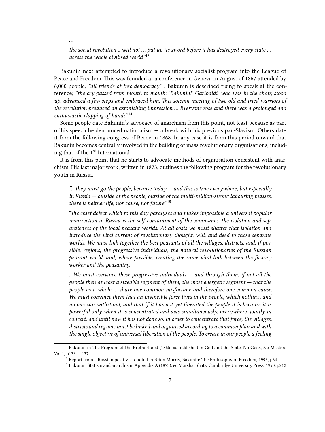*the social revolution .. will not … put up its sword before it has destroyed every state …* across the whole civilised world"<sup>13</sup>

*…*

Bakunin next attempted to introduce a revolutionary socialist program into the League of Peace and Freedom. This was founded at a conference in Geneva in August of 1867 attended by 6,000 people, *"all friends of free democracy"* . Bakunin is described rising to speak at the conference; *"the cry passed from mouth to mouth: 'Bakunin!' Garibaldi, who was in the chair, stood up, advanced a few steps and embraced him. This solemn meeting of two old and tried warriors of the revolution produced an astonishing impression … Everyone rose and there was a prolonged and* enthusiastic clapping of hands<sup>"14</sup>.

Some people date Bakunin's advocacy of anarchism from this point, not least because as part of his speech he denounced nationalism — a break with his previous pan-Slavism. Others date it from the following congress of Berne in 1868. In any case it is from this period onward that Bakunin becomes centrally involved in the building of mass revolutionary organisations, including that of the 1<sup>st</sup> International.

It is from this point that he starts to advocate methods of organisation consistent with anarchism. His last major work, written in 1873, outlines the following program for the revolutionary youth in Russia.

*"…they must go the people, because today — and this is true everywhere, but especially in Russia — outside of the people, outside of the multi-million-strong labouring masses, there is neither life, nor cause, nor future*"<sup>15</sup>

*"The chief defect which to this day paralyses and makes impossible a universal popular insurrection in Russia is the self-containment of the communes, the isolation and separateness of the local peasant worlds. At all costs we must shatter that isolation and introduce the vital current of revolutionary thought, will, and deed to those separate worlds. We must link together the best peasants of all the villages, districts, and, if possible, regions, the progressive individuals, the natural revolutionaries of the Russian peasant world, and, where possible, creating the same vital link between the factory worker and the peasantry.*

*…We must convince these progressive individuals — and through them, if not all the people then at least a sizeable segment of them, the most energetic segment — that the people as a whole … share one common misfortune and therefore one common cause. We must convince them that an invincible force lives in the people, which nothing, and no one can withstand, and that if it has not yet liberated the people it is because it is powerful only when it is concentrated and acts simultaneously, everywhere, jointly in concert, and until now it has not done so. In order to concentrate that force, the villages, districts and regions must be linked and organised according to a common plan and with the single objective of universal liberation of the people. To create in our people a feeling*

<sup>&</sup>lt;sup>13</sup> Bakunin in The Program of the Brotherhood (1865) as published in God and the State, No Gods, No Masters Vol 1, p133 — 137

<sup>&</sup>lt;sup>14</sup> Report from a Russian positivist quoted in Brian Morris, Bakunin: The Philosophy of Freedom, 1993, p34

<sup>15</sup> Bakunin, Statism and anarchism, Appendix A (1873), ed Marshal Shatz, Cambridge University Press, 1990, p212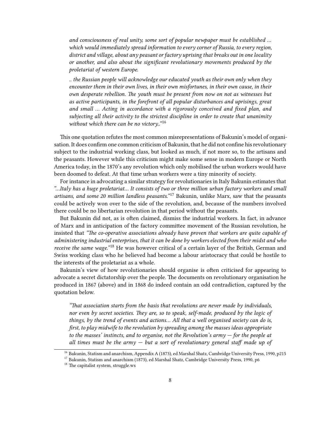*and consciousness of real unity, some sort of popular newpaper must be established … which would immediately spread information to every corner of Russia, to every region, district and village, about any peasant or factory uprising that breaks out in one locality or another, and also about the significant revolutionary movements produced by the proletariat of western Europe.*

*.. the Russian people will acknowledge our educated youth as their own only when they encounter them in their own lives, in their own misfortunes, in their own cause, in their own desperate rebellion. The youth must be present from now on not as witnesses but as active participants, in the forefront of all popular disturbances and uprisings, great and small … Acting in accordance with a rigorously conceived and fixed plan, and subjecting all their activity to the strictest discipline in order to create that unanimity* without which there can be no victory.<sup>"16</sup>

This one quotation refutes the most common misrepresentations of Bakunin's model of organisation. It does confirm one common criticism of Bakunin, that he did not confine his revolutionary subject to the industrial working class, but looked as much, if not more so, to the artisans and the peasants. However while this criticism might make some sense in modern Europe or North America today, in the 1870's any revolution which only mobilised the urban workers would have been doomed to defeat. At that time urban workers were a tiny minority of society.

For instance in advocating a similar strategy for revolutionaries in Italy Bakunin estimates that *"…Italy has a huge proletariat… It consists of two or three million urban factory workers and small* artisans, and some 20 million landless peasants."<sup>17</sup> Bakunin, unlike Marx, saw that the peasants could be actively won over to the side of the revolution, and, because of the numbers involved there could be no libertarian revolution in that period without the peasants.

But Bakunin did not, as is often claimed, dismiss the industrial workers. In fact, in advance of Marx and in anticipation of the factory committee movement of the Russian revolution, he insisted that *"The co-operative associations already have proven that workers are quite capable of administering industrial enterprises, that it can be done by workers elected from their midst and who receive the same wage.*"<sup>18</sup> He was however critical of a certain layer of the British, German and Swiss working class who he believed had become a labour aristocracy that could be hostile to the interests of the proletariat as a whole.

Bakunin's view of how revolutionaries should organise is often criticised for appearing to advocate a secret dictatorship over the people. The documents on revolutionary organisation he produced in 1867 (above) and in 1868 do indeed contain an odd contradiction, captured by the quotation below.

*"That association starts from the basis that revolutions are never made by individuals, nor even by secret societies. They are, so to speak, self-made, produced by the logic of things, by the trend of events and actions… All that a well organised society can do is, first, to play midwife to the revolution by spreading among the masses ideas appropriate to the masses' instincts, and to organise, not the Revolution's army — for the people at all times must be the army — but a sort of revolutionary general staff made up of*

<sup>&</sup>lt;sup>16</sup> Bakunin, Statism and anarchism, Appendix A (1873), ed Marshal Shatz, Cambridge University Press, 1990, p215

<sup>&</sup>lt;sup>17</sup> Bakunin, Statism and anarchism (1873), ed Marshal Shatz, Cambridge University Press, 1990, p6

 $^{\rm 18}$  The capitalist system, [struggle.ws](http://struggle.ws/anarchists/bakunin/writings/capitalist_system.html)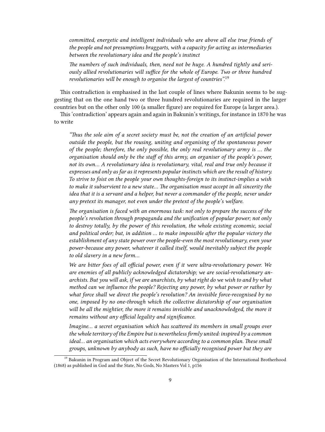*committed, energetic and intelligent individuals who are above all else true friends of the people and not presumptions braggarts, with a capacity for acting as intermediaries between the revolutionary idea and the people's instinct*

*The numbers of such individuals, then, need not be huge. A hundred tightly and seriously allied revolutionaries will suffice for the whole of Europe. Two or three hundred revolutionaries will be enough to organise the largest of countries".*<sup>19</sup>

This contradiction is emphasised in the last couple of lines where Bakunin seems to be suggesting that on the one hand two or three hundred revolutionaries are required in the larger countries but on the other only 100 (a smaller figure) are required for Europe (a larger area.).

This 'contradiction' appears again and again in Bakunin's writings, for instance in 1870 he was to write

*"Thus the sole aim of a secret society must be, not the creation of an artificial power outside the people, but the rousing, uniting and organising of the spontaneous power of the people; therefore, the only possible, the only real revolutionary army is … the organisation should only be the staff of this army, an organiser of the people's power, not its own… A revolutionary idea is revolutionary, vital, real and true only because it expresses and only as far as it represents popular instincts which are the result of history. To strive to foist on the people your own thoughts-foreign to its instinct-implies a wish to make it subservient to a new state… The organisation must accept in all sincerity the idea that it is a servant and a helper, but never a commander of the people, never under any pretext its manager, not even under the pretext of the people's welfare.*

*The organisation is faced with an enormous task: not only to prepare the success of the people's revolution through propaganda and the unification of popular power; not only to destroy totally, by the power of this revolution, the whole existing economic, social and political order; but, in addition … to make impossible after the popular victory the establishment of any state power over the people-even the most revolutionary, even your power-because any power, whatever it called itself, would inevitably subject the people to old slavery in a new form…*

*We are bitter foes of all official power, even if it were ultra-revolutionary power. We are enemies of all publicly acknowledged dictatorship; we are social-revolutionary anarchists. But you will ask, if we are anarchists, by what right do we wish to and by what method can we influence the people? Rejecting any power, by what power or rather by what force shall we direct the people's revolution? An invisible force-recognised by no one, imposed by no one-through which the collective dictatorship of our organisation will be all the mightier, the more it remains invisible and unacknowledged, the more it remains without any official legality and significance.*

*Imagine… a secret organisation which has scattered its members in small groups over the whole territory of the Empire but is nevertheless firmly united: inspired by a common ideal… an organisation which acts everywhere according to a common plan. These small groups, unknown by anybody as such, have no officially recognised power but they are*

<sup>&</sup>lt;sup>19</sup> Bakunin in Program and Object of the Secret Revolutionary Organisation of the International Brotherhood (1868) as published in God and the State, No Gods, No Masters Vol 1, p156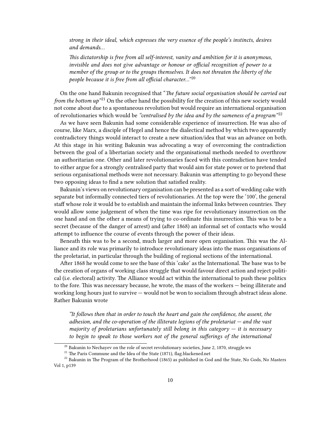*strong in their ideal, which expresses the very essence of the people's instincts, desires and demands…*

*This dictatorship is free from all self-interest, vanity and ambition for it is anonymous, invisible and does not give advantage or honour or official recognition of power to a member of the group or to the groups themselves. It does not threaten the liberty of the people because it is free from all official character...*"<sup>20</sup>

On the one hand Bakunin recognised that "*The future social organisation should be carried out from the bottom up*<sup>221</sup> On the other hand the possibility for the creation of this new society would not come about due to a spontaneous revolution but would require an international organisation of revolutionaries which would be *"centralised by the idea and by the sameness of a program"* <sup>22</sup>

As we have seen Bakunin had some considerable experience of insurrection. He was also of course, like Marx, a disciple of Hegel and hence the dialectical method by which two apparently contradictory things would interact to create a new situation/idea that was an advance on both. At this stage in his writing Bakunin was advocating a way of overcoming the contradiction between the goal of a libertarian society and the organisational methods needed to overthrow an authoritarian one. Other and later revolutionaries faced with this contradiction have tended to either argue for a strongly centralised party that would aim for state power or to pretend that serious organisational methods were not necessary. Bakunin was attempting to go beyond these two opposing ideas to find a new solution that satisfied reality.

Bakunin's views on revolutionary organisation can be presented as a sort of wedding cake with separate but informally connected tiers of revolutionaries. At the top were the '100', the general staff whose role it would be to establish and maintain the informal links between countries. They would allow some judgement of when the time was ripe for revolutionary insurrection on the one hand and on the other a means of trying to co-ordinate this insurrection. This was to be a secret (because of the danger of arrest) and (after 1868) an informal set of contacts who would attempt to influence the course of events through the power of their ideas.

Beneath this was to be a second, much larger and more open organisation. This was the Alliance and its role was primarily to introduce revolutionary ideas into the mass organisations of the proletariat, in particular through the building of regional sections of the international.

After 1868 he would come to see the base of this 'cake' as the International. The base was to be the creation of organs of working class struggle that would favour direct action and reject political (i.e. electoral) activity. The Alliance would act within the international to push these politics to the fore. This was necessary because, he wrote, the mass of the workers — being illiterate and working long hours just to survive — would not be won to socialism through abstract ideas alone. Rather Bakunin wrote

*"It follows then that in order to touch the heart and gain the confidence, the assent, the adhesion, and the co-operation of the illiterate legions of the proletariat — and the vast majority of proletarians unfortunately still belong in this category — it is necessary to begin to speak to those workers not of the general sufferings of the international*

 $20$  Bakunin to Nechayev on the role of secret revolutionary societies, June 2, 1870, [struggle.ws](http://struggle.ws/anarchists/bakunin/writings/nechayev_secret_disagree.html)

 $21$  The Paris Commune and the Idea of the State (1871), [flag.blackened.net](http://flag.blackened.net/daver/anarchism/bakunin/paris.html)

 $^{22}$  Bakunin in The Program of the Brotherhood (1865) as published in God and the State, No Gods, No Masters Vol 1, p139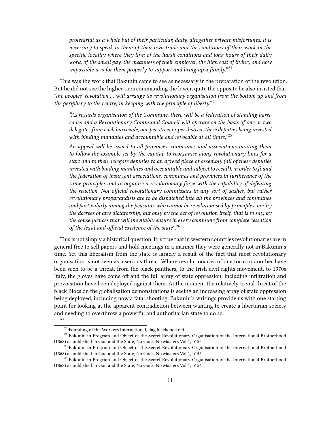*proletariat as a whole but of their particular, daily, altogether private misfortunes. It is necessary to speak to them of their own trade and the conditions of their work in the specific locality where they live; of the harsh conditions and long hours of their daily work, of the small pay, the meanness of their employer, the high cost of living, and how impossible it is for them properly to support and bring up a family.*<sup>"23</sup>

This was the work that Bakunin came to see as necessary in the preparation of the revolution. But he did not see the higher tiers commanding the lower, quite the opposite he also insisted that *"the peoples' revolution … will arrange its revolutionary organisation from the bottom up and from the periphery to the centre, in keeping with the principle of liberty"*. 24

*"As regards organisation of the Commune, there will be a federation of standing barricades and a Revolutionary Communal Council will operate on the basis of one or two delegates from each barricade, one per street or per district, these deputies being invested* with binding mandates and accountable and revocable at all times."<sup>25</sup>

*An appeal will be issued to all provinces, communes and associations inviting them to follow the example set by the capital, to reorganise along revolutionary lines for a start and to then delegate deputies to an agreed place of assembly (all of these deputies invested with binding mandates and accountable and subject to recall), in order to found the federation of insurgent associations, communes and provinces in furtherance of the same principles and to organise a revolutionary force with the capability of defeating the reaction. Not official revolutionary commissars in any sort of sashes, but rather revolutionary propagandists are to be dispatched into all the provinces and communes and particularly among the peasants who cannot be revolutionised by principles, nor by the decrees of any dictatorship, but only by the act of revolution itself, that is to say, by the consequences that will inevitably ensure in every commune from complete cessation of the legal and official existence of the state"*. 26

This is not simply a historical question. It is true that in western countries revolutionaries are in general free to sell papers and hold meetings in a manner they were generally not in Bakunin's time. Yet this liberalism from the state is largely a result of the fact that most revolutionary organisation is not seen as a serious threat. Where revolutionaries of one form or another have been seen to be a threat, from the black panthers, to the Irish civil rights movement, to 1970s Italy, the gloves have come off and the full array of state oppression, including infiltration and provocation have been deployed against them. At the moment the relatively trivial threat of the black Blocs on the globalisation demonstrations is seeing an increasing array of state oppression being deployed, including now a fatal shooting. Bakunin's writings provide us with one starting point for looking at the apparent contradiction between wanting to create a libertarian society and needing to overthrow a powerful and authoritarian state to do so.

<sup>\*\*</sup>

<sup>&</sup>lt;sup>23</sup> Founding of the Workers International, [flag.blackened.net](http://flag.blackened.net/daver/anarchism/bakunin/bakunin3.html)

<sup>&</sup>lt;sup>24</sup> Bakunin in Program and Object of the Secret Revolutionary Organisation of the International Brotherhood (1868) as published in God and the State, No Gods, No Masters Vol 1, p155

<sup>&</sup>lt;sup>25</sup> Bakunin in Program and Object of the Secret Revolutionary Organisation of the International Brotherhood (1868) as published in God and the State, No Gods, No Masters Vol 1, p155

<sup>&</sup>lt;sup>26</sup> Bakunin in Program and Object of the Secret Revolutionary Organisation of the International Brotherhood (1868) as published in God and the State, No Gods, No Masters Vol 1, p156